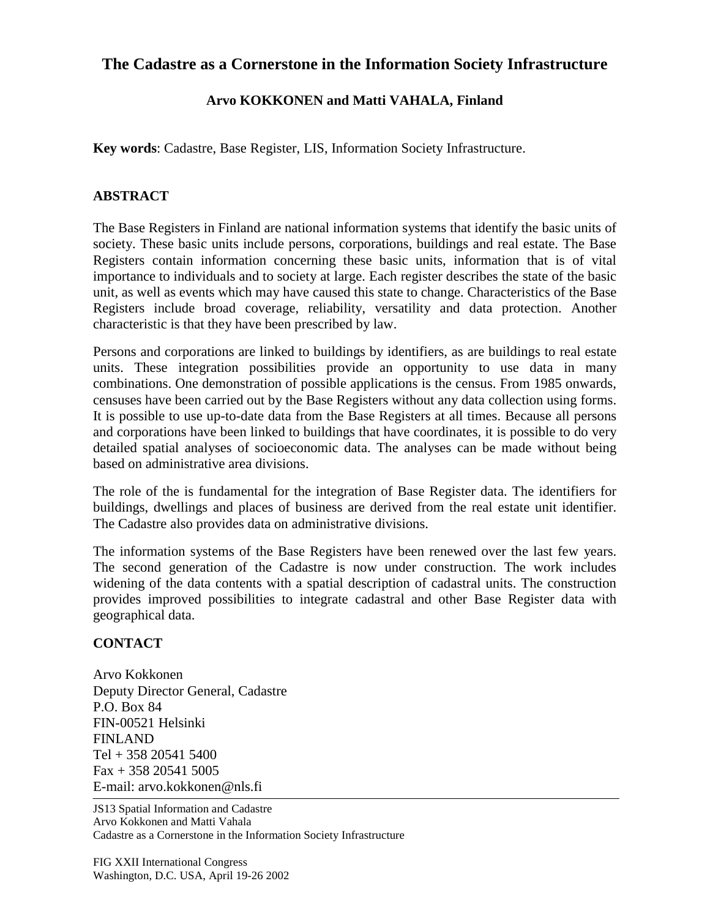## **The Cadastre as a Cornerstone in the Information Society Infrastructure**

## **Arvo KOKKONEN and Matti VAHALA, Finland**

**Key words**: Cadastre, Base Register, LIS, Information Society Infrastructure.

## **ABSTRACT**

The Base Registers in Finland are national information systems that identify the basic units of society. These basic units include persons, corporations, buildings and real estate. The Base Registers contain information concerning these basic units, information that is of vital importance to individuals and to society at large. Each register describes the state of the basic unit, as well as events which may have caused this state to change. Characteristics of the Base Registers include broad coverage, reliability, versatility and data protection. Another characteristic is that they have been prescribed by law.

Persons and corporations are linked to buildings by identifiers, as are buildings to real estate units. These integration possibilities provide an opportunity to use data in many combinations. One demonstration of possible applications is the census. From 1985 onwards, censuses have been carried out by the Base Registers without any data collection using forms. It is possible to use up-to-date data from the Base Registers at all times. Because all persons and corporations have been linked to buildings that have coordinates, it is possible to do very detailed spatial analyses of socioeconomic data. The analyses can be made without being based on administrative area divisions.

The role of the is fundamental for the integration of Base Register data. The identifiers for buildings, dwellings and places of business are derived from the real estate unit identifier. The Cadastre also provides data on administrative divisions.

The information systems of the Base Registers have been renewed over the last few years. The second generation of the Cadastre is now under construction. The work includes widening of the data contents with a spatial description of cadastral units. The construction provides improved possibilities to integrate cadastral and other Base Register data with geographical data.

## **CONTACT**

Arvo Kokkonen Deputy Director General, Cadastre P.O. Box 84 FIN-00521 Helsinki FINLAND Tel + 358 20541 5400  $Fax + 358 20541 5005$ E-mail: arvo.kokkonen@nls.fi

JS13 Spatial Information and Cadastre Arvo Kokkonen and Matti Vahala Cadastre as a Cornerstone in the Information Society Infrastructure